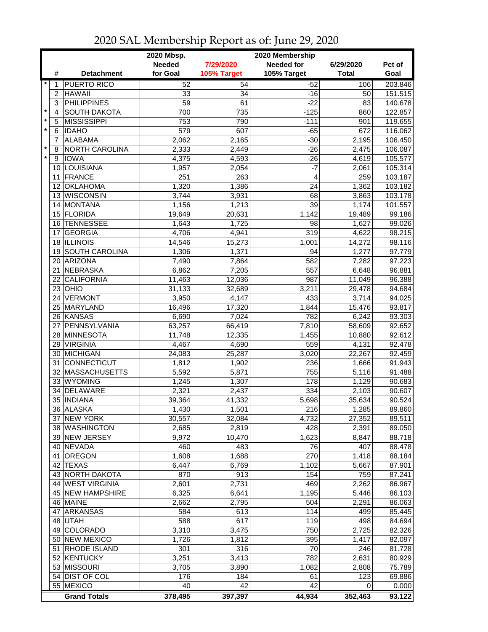| <b>Needed</b><br><b>Needed for</b><br>7/29/2020<br>6/29/2020<br>Pct of<br>for Goal<br>105% Target<br>105% Target<br><b>Total</b><br>Goal<br>#<br><b>Detachment</b><br>$\star$<br><b>PUERTO RICO</b><br>$\overline{52}$<br>54<br>$-52$<br>106<br>1<br><b>HAWAII</b><br>33<br>151.515<br>$\overline{2}$<br>34<br>$-16$<br>50<br><b>PHILIPPINES</b><br>3<br>59<br>61<br>$-22$<br>83<br>140.678<br>$\star$<br><b>SOUTH DAKOTA</b><br>$-125$<br>122.857<br>4<br>700<br>735<br>860<br>$\pmb{\ast}$<br>5<br><b>MISSISSIPPI</b><br>119.655<br>753<br>790<br>$-111$<br>901<br>$\star$<br>6<br><b>IDAHO</b><br>579<br>607<br>$-65$<br>672<br>116.062<br><b>ALABAMA</b><br>$-30$<br>106.450<br>7<br>2,062<br>2,165<br>2,195<br>$\star$<br>NORTH CAROLINA<br>$-26$<br>106.087<br>8<br>2,333<br>2,449<br>2,475<br>$\star$<br><b>IOWA</b><br>4,375<br>4,593<br>9<br>$-26$<br>4,619<br>105.577<br>10 LOUISIANA<br>$-7$<br>1,957<br>2,054<br>105.314<br>2,061<br>11 FRANCE<br>263<br>$\overline{4}$<br>251<br>259<br>103.187<br>1,386<br><b>OKLAHOMA</b><br>1,320<br>24<br>1,362<br>103.182<br>12 <sup>2</sup><br>13 WISCONSIN<br>3,744<br>3,931<br>68<br>3,863<br>103.178<br>1,156<br>39<br>101.557<br>14 MONTANA<br>1,213<br>1,174<br>1,142<br>99.186<br>15 FLORIDA<br>20,631<br>19,649<br>19,489<br>99.026<br>16 TENNESSEE<br>1,643<br>1,725<br>98<br>1,627<br>319<br>98.215<br><b>GEORGIA</b><br>4,706<br>4,622<br>4,941<br>17<br>18 ILLINOIS<br>1,001<br>14,272<br>14,546<br>15,273<br>97.779<br>19 SOUTH CAROLINA<br>1,306<br>94<br>1,277<br>1,371<br>ARIZONA<br>97.223<br>7,490<br>582<br>7,282<br>20<br>7,864<br>NEBRASKA<br>96.881<br>21<br>6,862<br>7,205<br>557<br>6,648<br><b>CALIFORNIA</b><br>987<br>96.388<br>22<br>11,463<br>11,049<br>12,036<br>OHIO<br>3,211<br>23<br>31,133<br>32,689<br>29,478<br>VERMONT<br>3,950<br>433<br>94.025<br>24<br>4,147<br>3,714<br>25 MARYLAND<br>1,844<br>93.817<br>16,496<br>17,320<br>15,476<br>782<br>26 KANSAS<br>6,690<br>7,024<br>6,242<br>93.303<br>27 PENNSYLVANIA<br>63,257<br>66,419<br>7,810<br>92.652<br>58,609<br>1,455<br>28 MINNESOTA<br>11,748<br>12,335<br>92.612<br>10,880<br>559<br>29 VIRGINIA<br>4,467<br>4,690<br>4,131<br>92.478<br>30 MICHIGAN<br>25,287<br>3,020<br>92.459<br>24,083<br>22,267<br>31 CONNECTICUT<br>91.943<br>1,812<br>236<br>1,902<br>1,666<br>755<br>32 MASSACHUSETTS<br>5,592<br>91.488<br>5,871<br>5,116<br>33 WYOMING<br>1,307<br>178<br>90.683<br>1,245<br>1,129<br>DELAWARE<br>2,321<br>2,437<br>334<br>2,103<br>90.607<br>34<br>35 INDIANA<br>5,698<br>90.524<br>39,364<br>41,332<br>35,634<br>36 ALASKA<br>1,430<br>1,501<br>216<br>1,285<br>89.860<br>37 NEW YORK<br>30,557<br>4,732<br>27,352<br>89.511<br>32,084<br>38 WASHINGTON<br>2,685<br>428<br>89.050<br>2,819<br>2,391<br>39 NEW JERSEY<br>9,972<br>1,623<br>10,470<br>8,847<br>40 NEVADA<br>483<br>76<br>407<br>460<br>OREGON<br>1,608<br>1,688<br>270<br>41<br>1,418<br>6,447<br>42 TEXAS<br>6,769<br>1,102<br>5,667<br>87.901<br>43 NORTH DAKOTA<br>870<br>913<br>154<br>759<br>87.241<br>44 WEST VIRGINIA<br>2,731<br>469<br>2,601<br>2,262<br>86.967<br>45 NEW HAMPSHIRE<br>1,195<br>6,325<br>86.103<br>6,641<br>5,446<br>46 MAINE<br>2,662<br>2,795<br>504<br>2,291<br>114<br>47 ARKANSAS<br>613<br>584<br>499<br>588<br>617<br>119<br>84.694<br>48 UTAH<br>498<br>49 COLORADO<br>3,310<br>750<br>3,475<br>82.326<br>2,725<br>50 NEW MEXICO<br>1,726<br>1,812<br>395<br>1,417<br>82.097<br>51 RHODE ISLAND<br>301<br>316<br>70<br>246<br>81.728<br>52 KENTUCKY<br>3,251<br>3,413<br>782<br>2,631<br>80.929<br>53 MISSOURI<br>75.789<br>3,705<br>3,890<br>1,082<br>2,808<br>54 DIST OF COL<br>123<br>69.886<br>176<br>184<br>61<br>55 MEXICO<br>42<br>42<br>40<br>0.000<br>0<br>378,495<br>397,397<br>44,934<br><b>Grand Totals</b><br>352,463<br>93.122 |  | 2020 Mbsp. | 2020 Membership |         |
|------------------------------------------------------------------------------------------------------------------------------------------------------------------------------------------------------------------------------------------------------------------------------------------------------------------------------------------------------------------------------------------------------------------------------------------------------------------------------------------------------------------------------------------------------------------------------------------------------------------------------------------------------------------------------------------------------------------------------------------------------------------------------------------------------------------------------------------------------------------------------------------------------------------------------------------------------------------------------------------------------------------------------------------------------------------------------------------------------------------------------------------------------------------------------------------------------------------------------------------------------------------------------------------------------------------------------------------------------------------------------------------------------------------------------------------------------------------------------------------------------------------------------------------------------------------------------------------------------------------------------------------------------------------------------------------------------------------------------------------------------------------------------------------------------------------------------------------------------------------------------------------------------------------------------------------------------------------------------------------------------------------------------------------------------------------------------------------------------------------------------------------------------------------------------------------------------------------------------------------------------------------------------------------------------------------------------------------------------------------------------------------------------------------------------------------------------------------------------------------------------------------------------------------------------------------------------------------------------------------------------------------------------------------------------------------------------------------------------------------------------------------------------------------------------------------------------------------------------------------------------------------------------------------------------------------------------------------------------------------------------------------------------------------------------------------------------------------------------------------------------------------------------------------------------------------------------------------------------------------------------------------------------------------------------------------------------------------------------------------------------------------------------------------------------------------------------------------------------------------------------------------------------------------------------------------------------------------------------------------------------------------------------------------------------------------------------------------------------------------------------------------------------------------------------------|--|------------|-----------------|---------|
|                                                                                                                                                                                                                                                                                                                                                                                                                                                                                                                                                                                                                                                                                                                                                                                                                                                                                                                                                                                                                                                                                                                                                                                                                                                                                                                                                                                                                                                                                                                                                                                                                                                                                                                                                                                                                                                                                                                                                                                                                                                                                                                                                                                                                                                                                                                                                                                                                                                                                                                                                                                                                                                                                                                                                                                                                                                                                                                                                                                                                                                                                                                                                                                                                                                                                                                                                                                                                                                                                                                                                                                                                                                                                                                                                                                                            |  |            |                 |         |
|                                                                                                                                                                                                                                                                                                                                                                                                                                                                                                                                                                                                                                                                                                                                                                                                                                                                                                                                                                                                                                                                                                                                                                                                                                                                                                                                                                                                                                                                                                                                                                                                                                                                                                                                                                                                                                                                                                                                                                                                                                                                                                                                                                                                                                                                                                                                                                                                                                                                                                                                                                                                                                                                                                                                                                                                                                                                                                                                                                                                                                                                                                                                                                                                                                                                                                                                                                                                                                                                                                                                                                                                                                                                                                                                                                                                            |  |            |                 |         |
|                                                                                                                                                                                                                                                                                                                                                                                                                                                                                                                                                                                                                                                                                                                                                                                                                                                                                                                                                                                                                                                                                                                                                                                                                                                                                                                                                                                                                                                                                                                                                                                                                                                                                                                                                                                                                                                                                                                                                                                                                                                                                                                                                                                                                                                                                                                                                                                                                                                                                                                                                                                                                                                                                                                                                                                                                                                                                                                                                                                                                                                                                                                                                                                                                                                                                                                                                                                                                                                                                                                                                                                                                                                                                                                                                                                                            |  |            |                 | 203.846 |
|                                                                                                                                                                                                                                                                                                                                                                                                                                                                                                                                                                                                                                                                                                                                                                                                                                                                                                                                                                                                                                                                                                                                                                                                                                                                                                                                                                                                                                                                                                                                                                                                                                                                                                                                                                                                                                                                                                                                                                                                                                                                                                                                                                                                                                                                                                                                                                                                                                                                                                                                                                                                                                                                                                                                                                                                                                                                                                                                                                                                                                                                                                                                                                                                                                                                                                                                                                                                                                                                                                                                                                                                                                                                                                                                                                                                            |  |            |                 |         |
|                                                                                                                                                                                                                                                                                                                                                                                                                                                                                                                                                                                                                                                                                                                                                                                                                                                                                                                                                                                                                                                                                                                                                                                                                                                                                                                                                                                                                                                                                                                                                                                                                                                                                                                                                                                                                                                                                                                                                                                                                                                                                                                                                                                                                                                                                                                                                                                                                                                                                                                                                                                                                                                                                                                                                                                                                                                                                                                                                                                                                                                                                                                                                                                                                                                                                                                                                                                                                                                                                                                                                                                                                                                                                                                                                                                                            |  |            |                 |         |
|                                                                                                                                                                                                                                                                                                                                                                                                                                                                                                                                                                                                                                                                                                                                                                                                                                                                                                                                                                                                                                                                                                                                                                                                                                                                                                                                                                                                                                                                                                                                                                                                                                                                                                                                                                                                                                                                                                                                                                                                                                                                                                                                                                                                                                                                                                                                                                                                                                                                                                                                                                                                                                                                                                                                                                                                                                                                                                                                                                                                                                                                                                                                                                                                                                                                                                                                                                                                                                                                                                                                                                                                                                                                                                                                                                                                            |  |            |                 |         |
|                                                                                                                                                                                                                                                                                                                                                                                                                                                                                                                                                                                                                                                                                                                                                                                                                                                                                                                                                                                                                                                                                                                                                                                                                                                                                                                                                                                                                                                                                                                                                                                                                                                                                                                                                                                                                                                                                                                                                                                                                                                                                                                                                                                                                                                                                                                                                                                                                                                                                                                                                                                                                                                                                                                                                                                                                                                                                                                                                                                                                                                                                                                                                                                                                                                                                                                                                                                                                                                                                                                                                                                                                                                                                                                                                                                                            |  |            |                 |         |
|                                                                                                                                                                                                                                                                                                                                                                                                                                                                                                                                                                                                                                                                                                                                                                                                                                                                                                                                                                                                                                                                                                                                                                                                                                                                                                                                                                                                                                                                                                                                                                                                                                                                                                                                                                                                                                                                                                                                                                                                                                                                                                                                                                                                                                                                                                                                                                                                                                                                                                                                                                                                                                                                                                                                                                                                                                                                                                                                                                                                                                                                                                                                                                                                                                                                                                                                                                                                                                                                                                                                                                                                                                                                                                                                                                                                            |  |            |                 |         |
|                                                                                                                                                                                                                                                                                                                                                                                                                                                                                                                                                                                                                                                                                                                                                                                                                                                                                                                                                                                                                                                                                                                                                                                                                                                                                                                                                                                                                                                                                                                                                                                                                                                                                                                                                                                                                                                                                                                                                                                                                                                                                                                                                                                                                                                                                                                                                                                                                                                                                                                                                                                                                                                                                                                                                                                                                                                                                                                                                                                                                                                                                                                                                                                                                                                                                                                                                                                                                                                                                                                                                                                                                                                                                                                                                                                                            |  |            |                 |         |
|                                                                                                                                                                                                                                                                                                                                                                                                                                                                                                                                                                                                                                                                                                                                                                                                                                                                                                                                                                                                                                                                                                                                                                                                                                                                                                                                                                                                                                                                                                                                                                                                                                                                                                                                                                                                                                                                                                                                                                                                                                                                                                                                                                                                                                                                                                                                                                                                                                                                                                                                                                                                                                                                                                                                                                                                                                                                                                                                                                                                                                                                                                                                                                                                                                                                                                                                                                                                                                                                                                                                                                                                                                                                                                                                                                                                            |  |            |                 |         |
|                                                                                                                                                                                                                                                                                                                                                                                                                                                                                                                                                                                                                                                                                                                                                                                                                                                                                                                                                                                                                                                                                                                                                                                                                                                                                                                                                                                                                                                                                                                                                                                                                                                                                                                                                                                                                                                                                                                                                                                                                                                                                                                                                                                                                                                                                                                                                                                                                                                                                                                                                                                                                                                                                                                                                                                                                                                                                                                                                                                                                                                                                                                                                                                                                                                                                                                                                                                                                                                                                                                                                                                                                                                                                                                                                                                                            |  |            |                 |         |
|                                                                                                                                                                                                                                                                                                                                                                                                                                                                                                                                                                                                                                                                                                                                                                                                                                                                                                                                                                                                                                                                                                                                                                                                                                                                                                                                                                                                                                                                                                                                                                                                                                                                                                                                                                                                                                                                                                                                                                                                                                                                                                                                                                                                                                                                                                                                                                                                                                                                                                                                                                                                                                                                                                                                                                                                                                                                                                                                                                                                                                                                                                                                                                                                                                                                                                                                                                                                                                                                                                                                                                                                                                                                                                                                                                                                            |  |            |                 |         |
|                                                                                                                                                                                                                                                                                                                                                                                                                                                                                                                                                                                                                                                                                                                                                                                                                                                                                                                                                                                                                                                                                                                                                                                                                                                                                                                                                                                                                                                                                                                                                                                                                                                                                                                                                                                                                                                                                                                                                                                                                                                                                                                                                                                                                                                                                                                                                                                                                                                                                                                                                                                                                                                                                                                                                                                                                                                                                                                                                                                                                                                                                                                                                                                                                                                                                                                                                                                                                                                                                                                                                                                                                                                                                                                                                                                                            |  |            |                 |         |
|                                                                                                                                                                                                                                                                                                                                                                                                                                                                                                                                                                                                                                                                                                                                                                                                                                                                                                                                                                                                                                                                                                                                                                                                                                                                                                                                                                                                                                                                                                                                                                                                                                                                                                                                                                                                                                                                                                                                                                                                                                                                                                                                                                                                                                                                                                                                                                                                                                                                                                                                                                                                                                                                                                                                                                                                                                                                                                                                                                                                                                                                                                                                                                                                                                                                                                                                                                                                                                                                                                                                                                                                                                                                                                                                                                                                            |  |            |                 |         |
|                                                                                                                                                                                                                                                                                                                                                                                                                                                                                                                                                                                                                                                                                                                                                                                                                                                                                                                                                                                                                                                                                                                                                                                                                                                                                                                                                                                                                                                                                                                                                                                                                                                                                                                                                                                                                                                                                                                                                                                                                                                                                                                                                                                                                                                                                                                                                                                                                                                                                                                                                                                                                                                                                                                                                                                                                                                                                                                                                                                                                                                                                                                                                                                                                                                                                                                                                                                                                                                                                                                                                                                                                                                                                                                                                                                                            |  |            |                 |         |
|                                                                                                                                                                                                                                                                                                                                                                                                                                                                                                                                                                                                                                                                                                                                                                                                                                                                                                                                                                                                                                                                                                                                                                                                                                                                                                                                                                                                                                                                                                                                                                                                                                                                                                                                                                                                                                                                                                                                                                                                                                                                                                                                                                                                                                                                                                                                                                                                                                                                                                                                                                                                                                                                                                                                                                                                                                                                                                                                                                                                                                                                                                                                                                                                                                                                                                                                                                                                                                                                                                                                                                                                                                                                                                                                                                                                            |  |            |                 |         |
|                                                                                                                                                                                                                                                                                                                                                                                                                                                                                                                                                                                                                                                                                                                                                                                                                                                                                                                                                                                                                                                                                                                                                                                                                                                                                                                                                                                                                                                                                                                                                                                                                                                                                                                                                                                                                                                                                                                                                                                                                                                                                                                                                                                                                                                                                                                                                                                                                                                                                                                                                                                                                                                                                                                                                                                                                                                                                                                                                                                                                                                                                                                                                                                                                                                                                                                                                                                                                                                                                                                                                                                                                                                                                                                                                                                                            |  |            |                 |         |
|                                                                                                                                                                                                                                                                                                                                                                                                                                                                                                                                                                                                                                                                                                                                                                                                                                                                                                                                                                                                                                                                                                                                                                                                                                                                                                                                                                                                                                                                                                                                                                                                                                                                                                                                                                                                                                                                                                                                                                                                                                                                                                                                                                                                                                                                                                                                                                                                                                                                                                                                                                                                                                                                                                                                                                                                                                                                                                                                                                                                                                                                                                                                                                                                                                                                                                                                                                                                                                                                                                                                                                                                                                                                                                                                                                                                            |  |            |                 |         |
|                                                                                                                                                                                                                                                                                                                                                                                                                                                                                                                                                                                                                                                                                                                                                                                                                                                                                                                                                                                                                                                                                                                                                                                                                                                                                                                                                                                                                                                                                                                                                                                                                                                                                                                                                                                                                                                                                                                                                                                                                                                                                                                                                                                                                                                                                                                                                                                                                                                                                                                                                                                                                                                                                                                                                                                                                                                                                                                                                                                                                                                                                                                                                                                                                                                                                                                                                                                                                                                                                                                                                                                                                                                                                                                                                                                                            |  |            |                 | 98.116  |
|                                                                                                                                                                                                                                                                                                                                                                                                                                                                                                                                                                                                                                                                                                                                                                                                                                                                                                                                                                                                                                                                                                                                                                                                                                                                                                                                                                                                                                                                                                                                                                                                                                                                                                                                                                                                                                                                                                                                                                                                                                                                                                                                                                                                                                                                                                                                                                                                                                                                                                                                                                                                                                                                                                                                                                                                                                                                                                                                                                                                                                                                                                                                                                                                                                                                                                                                                                                                                                                                                                                                                                                                                                                                                                                                                                                                            |  |            |                 |         |
|                                                                                                                                                                                                                                                                                                                                                                                                                                                                                                                                                                                                                                                                                                                                                                                                                                                                                                                                                                                                                                                                                                                                                                                                                                                                                                                                                                                                                                                                                                                                                                                                                                                                                                                                                                                                                                                                                                                                                                                                                                                                                                                                                                                                                                                                                                                                                                                                                                                                                                                                                                                                                                                                                                                                                                                                                                                                                                                                                                                                                                                                                                                                                                                                                                                                                                                                                                                                                                                                                                                                                                                                                                                                                                                                                                                                            |  |            |                 |         |
|                                                                                                                                                                                                                                                                                                                                                                                                                                                                                                                                                                                                                                                                                                                                                                                                                                                                                                                                                                                                                                                                                                                                                                                                                                                                                                                                                                                                                                                                                                                                                                                                                                                                                                                                                                                                                                                                                                                                                                                                                                                                                                                                                                                                                                                                                                                                                                                                                                                                                                                                                                                                                                                                                                                                                                                                                                                                                                                                                                                                                                                                                                                                                                                                                                                                                                                                                                                                                                                                                                                                                                                                                                                                                                                                                                                                            |  |            |                 |         |
|                                                                                                                                                                                                                                                                                                                                                                                                                                                                                                                                                                                                                                                                                                                                                                                                                                                                                                                                                                                                                                                                                                                                                                                                                                                                                                                                                                                                                                                                                                                                                                                                                                                                                                                                                                                                                                                                                                                                                                                                                                                                                                                                                                                                                                                                                                                                                                                                                                                                                                                                                                                                                                                                                                                                                                                                                                                                                                                                                                                                                                                                                                                                                                                                                                                                                                                                                                                                                                                                                                                                                                                                                                                                                                                                                                                                            |  |            |                 |         |
|                                                                                                                                                                                                                                                                                                                                                                                                                                                                                                                                                                                                                                                                                                                                                                                                                                                                                                                                                                                                                                                                                                                                                                                                                                                                                                                                                                                                                                                                                                                                                                                                                                                                                                                                                                                                                                                                                                                                                                                                                                                                                                                                                                                                                                                                                                                                                                                                                                                                                                                                                                                                                                                                                                                                                                                                                                                                                                                                                                                                                                                                                                                                                                                                                                                                                                                                                                                                                                                                                                                                                                                                                                                                                                                                                                                                            |  |            |                 | 94.684  |
|                                                                                                                                                                                                                                                                                                                                                                                                                                                                                                                                                                                                                                                                                                                                                                                                                                                                                                                                                                                                                                                                                                                                                                                                                                                                                                                                                                                                                                                                                                                                                                                                                                                                                                                                                                                                                                                                                                                                                                                                                                                                                                                                                                                                                                                                                                                                                                                                                                                                                                                                                                                                                                                                                                                                                                                                                                                                                                                                                                                                                                                                                                                                                                                                                                                                                                                                                                                                                                                                                                                                                                                                                                                                                                                                                                                                            |  |            |                 |         |
|                                                                                                                                                                                                                                                                                                                                                                                                                                                                                                                                                                                                                                                                                                                                                                                                                                                                                                                                                                                                                                                                                                                                                                                                                                                                                                                                                                                                                                                                                                                                                                                                                                                                                                                                                                                                                                                                                                                                                                                                                                                                                                                                                                                                                                                                                                                                                                                                                                                                                                                                                                                                                                                                                                                                                                                                                                                                                                                                                                                                                                                                                                                                                                                                                                                                                                                                                                                                                                                                                                                                                                                                                                                                                                                                                                                                            |  |            |                 |         |
|                                                                                                                                                                                                                                                                                                                                                                                                                                                                                                                                                                                                                                                                                                                                                                                                                                                                                                                                                                                                                                                                                                                                                                                                                                                                                                                                                                                                                                                                                                                                                                                                                                                                                                                                                                                                                                                                                                                                                                                                                                                                                                                                                                                                                                                                                                                                                                                                                                                                                                                                                                                                                                                                                                                                                                                                                                                                                                                                                                                                                                                                                                                                                                                                                                                                                                                                                                                                                                                                                                                                                                                                                                                                                                                                                                                                            |  |            |                 |         |
|                                                                                                                                                                                                                                                                                                                                                                                                                                                                                                                                                                                                                                                                                                                                                                                                                                                                                                                                                                                                                                                                                                                                                                                                                                                                                                                                                                                                                                                                                                                                                                                                                                                                                                                                                                                                                                                                                                                                                                                                                                                                                                                                                                                                                                                                                                                                                                                                                                                                                                                                                                                                                                                                                                                                                                                                                                                                                                                                                                                                                                                                                                                                                                                                                                                                                                                                                                                                                                                                                                                                                                                                                                                                                                                                                                                                            |  |            |                 |         |
|                                                                                                                                                                                                                                                                                                                                                                                                                                                                                                                                                                                                                                                                                                                                                                                                                                                                                                                                                                                                                                                                                                                                                                                                                                                                                                                                                                                                                                                                                                                                                                                                                                                                                                                                                                                                                                                                                                                                                                                                                                                                                                                                                                                                                                                                                                                                                                                                                                                                                                                                                                                                                                                                                                                                                                                                                                                                                                                                                                                                                                                                                                                                                                                                                                                                                                                                                                                                                                                                                                                                                                                                                                                                                                                                                                                                            |  |            |                 |         |
|                                                                                                                                                                                                                                                                                                                                                                                                                                                                                                                                                                                                                                                                                                                                                                                                                                                                                                                                                                                                                                                                                                                                                                                                                                                                                                                                                                                                                                                                                                                                                                                                                                                                                                                                                                                                                                                                                                                                                                                                                                                                                                                                                                                                                                                                                                                                                                                                                                                                                                                                                                                                                                                                                                                                                                                                                                                                                                                                                                                                                                                                                                                                                                                                                                                                                                                                                                                                                                                                                                                                                                                                                                                                                                                                                                                                            |  |            |                 |         |
|                                                                                                                                                                                                                                                                                                                                                                                                                                                                                                                                                                                                                                                                                                                                                                                                                                                                                                                                                                                                                                                                                                                                                                                                                                                                                                                                                                                                                                                                                                                                                                                                                                                                                                                                                                                                                                                                                                                                                                                                                                                                                                                                                                                                                                                                                                                                                                                                                                                                                                                                                                                                                                                                                                                                                                                                                                                                                                                                                                                                                                                                                                                                                                                                                                                                                                                                                                                                                                                                                                                                                                                                                                                                                                                                                                                                            |  |            |                 |         |
|                                                                                                                                                                                                                                                                                                                                                                                                                                                                                                                                                                                                                                                                                                                                                                                                                                                                                                                                                                                                                                                                                                                                                                                                                                                                                                                                                                                                                                                                                                                                                                                                                                                                                                                                                                                                                                                                                                                                                                                                                                                                                                                                                                                                                                                                                                                                                                                                                                                                                                                                                                                                                                                                                                                                                                                                                                                                                                                                                                                                                                                                                                                                                                                                                                                                                                                                                                                                                                                                                                                                                                                                                                                                                                                                                                                                            |  |            |                 |         |
|                                                                                                                                                                                                                                                                                                                                                                                                                                                                                                                                                                                                                                                                                                                                                                                                                                                                                                                                                                                                                                                                                                                                                                                                                                                                                                                                                                                                                                                                                                                                                                                                                                                                                                                                                                                                                                                                                                                                                                                                                                                                                                                                                                                                                                                                                                                                                                                                                                                                                                                                                                                                                                                                                                                                                                                                                                                                                                                                                                                                                                                                                                                                                                                                                                                                                                                                                                                                                                                                                                                                                                                                                                                                                                                                                                                                            |  |            |                 |         |
|                                                                                                                                                                                                                                                                                                                                                                                                                                                                                                                                                                                                                                                                                                                                                                                                                                                                                                                                                                                                                                                                                                                                                                                                                                                                                                                                                                                                                                                                                                                                                                                                                                                                                                                                                                                                                                                                                                                                                                                                                                                                                                                                                                                                                                                                                                                                                                                                                                                                                                                                                                                                                                                                                                                                                                                                                                                                                                                                                                                                                                                                                                                                                                                                                                                                                                                                                                                                                                                                                                                                                                                                                                                                                                                                                                                                            |  |            |                 |         |
|                                                                                                                                                                                                                                                                                                                                                                                                                                                                                                                                                                                                                                                                                                                                                                                                                                                                                                                                                                                                                                                                                                                                                                                                                                                                                                                                                                                                                                                                                                                                                                                                                                                                                                                                                                                                                                                                                                                                                                                                                                                                                                                                                                                                                                                                                                                                                                                                                                                                                                                                                                                                                                                                                                                                                                                                                                                                                                                                                                                                                                                                                                                                                                                                                                                                                                                                                                                                                                                                                                                                                                                                                                                                                                                                                                                                            |  |            |                 |         |
|                                                                                                                                                                                                                                                                                                                                                                                                                                                                                                                                                                                                                                                                                                                                                                                                                                                                                                                                                                                                                                                                                                                                                                                                                                                                                                                                                                                                                                                                                                                                                                                                                                                                                                                                                                                                                                                                                                                                                                                                                                                                                                                                                                                                                                                                                                                                                                                                                                                                                                                                                                                                                                                                                                                                                                                                                                                                                                                                                                                                                                                                                                                                                                                                                                                                                                                                                                                                                                                                                                                                                                                                                                                                                                                                                                                                            |  |            |                 |         |
|                                                                                                                                                                                                                                                                                                                                                                                                                                                                                                                                                                                                                                                                                                                                                                                                                                                                                                                                                                                                                                                                                                                                                                                                                                                                                                                                                                                                                                                                                                                                                                                                                                                                                                                                                                                                                                                                                                                                                                                                                                                                                                                                                                                                                                                                                                                                                                                                                                                                                                                                                                                                                                                                                                                                                                                                                                                                                                                                                                                                                                                                                                                                                                                                                                                                                                                                                                                                                                                                                                                                                                                                                                                                                                                                                                                                            |  |            |                 |         |
|                                                                                                                                                                                                                                                                                                                                                                                                                                                                                                                                                                                                                                                                                                                                                                                                                                                                                                                                                                                                                                                                                                                                                                                                                                                                                                                                                                                                                                                                                                                                                                                                                                                                                                                                                                                                                                                                                                                                                                                                                                                                                                                                                                                                                                                                                                                                                                                                                                                                                                                                                                                                                                                                                                                                                                                                                                                                                                                                                                                                                                                                                                                                                                                                                                                                                                                                                                                                                                                                                                                                                                                                                                                                                                                                                                                                            |  |            |                 |         |
|                                                                                                                                                                                                                                                                                                                                                                                                                                                                                                                                                                                                                                                                                                                                                                                                                                                                                                                                                                                                                                                                                                                                                                                                                                                                                                                                                                                                                                                                                                                                                                                                                                                                                                                                                                                                                                                                                                                                                                                                                                                                                                                                                                                                                                                                                                                                                                                                                                                                                                                                                                                                                                                                                                                                                                                                                                                                                                                                                                                                                                                                                                                                                                                                                                                                                                                                                                                                                                                                                                                                                                                                                                                                                                                                                                                                            |  |            |                 | 88.718  |
|                                                                                                                                                                                                                                                                                                                                                                                                                                                                                                                                                                                                                                                                                                                                                                                                                                                                                                                                                                                                                                                                                                                                                                                                                                                                                                                                                                                                                                                                                                                                                                                                                                                                                                                                                                                                                                                                                                                                                                                                                                                                                                                                                                                                                                                                                                                                                                                                                                                                                                                                                                                                                                                                                                                                                                                                                                                                                                                                                                                                                                                                                                                                                                                                                                                                                                                                                                                                                                                                                                                                                                                                                                                                                                                                                                                                            |  |            |                 | 88.478  |
|                                                                                                                                                                                                                                                                                                                                                                                                                                                                                                                                                                                                                                                                                                                                                                                                                                                                                                                                                                                                                                                                                                                                                                                                                                                                                                                                                                                                                                                                                                                                                                                                                                                                                                                                                                                                                                                                                                                                                                                                                                                                                                                                                                                                                                                                                                                                                                                                                                                                                                                                                                                                                                                                                                                                                                                                                                                                                                                                                                                                                                                                                                                                                                                                                                                                                                                                                                                                                                                                                                                                                                                                                                                                                                                                                                                                            |  |            |                 | 88.184  |
|                                                                                                                                                                                                                                                                                                                                                                                                                                                                                                                                                                                                                                                                                                                                                                                                                                                                                                                                                                                                                                                                                                                                                                                                                                                                                                                                                                                                                                                                                                                                                                                                                                                                                                                                                                                                                                                                                                                                                                                                                                                                                                                                                                                                                                                                                                                                                                                                                                                                                                                                                                                                                                                                                                                                                                                                                                                                                                                                                                                                                                                                                                                                                                                                                                                                                                                                                                                                                                                                                                                                                                                                                                                                                                                                                                                                            |  |            |                 |         |
|                                                                                                                                                                                                                                                                                                                                                                                                                                                                                                                                                                                                                                                                                                                                                                                                                                                                                                                                                                                                                                                                                                                                                                                                                                                                                                                                                                                                                                                                                                                                                                                                                                                                                                                                                                                                                                                                                                                                                                                                                                                                                                                                                                                                                                                                                                                                                                                                                                                                                                                                                                                                                                                                                                                                                                                                                                                                                                                                                                                                                                                                                                                                                                                                                                                                                                                                                                                                                                                                                                                                                                                                                                                                                                                                                                                                            |  |            |                 |         |
|                                                                                                                                                                                                                                                                                                                                                                                                                                                                                                                                                                                                                                                                                                                                                                                                                                                                                                                                                                                                                                                                                                                                                                                                                                                                                                                                                                                                                                                                                                                                                                                                                                                                                                                                                                                                                                                                                                                                                                                                                                                                                                                                                                                                                                                                                                                                                                                                                                                                                                                                                                                                                                                                                                                                                                                                                                                                                                                                                                                                                                                                                                                                                                                                                                                                                                                                                                                                                                                                                                                                                                                                                                                                                                                                                                                                            |  |            |                 |         |
|                                                                                                                                                                                                                                                                                                                                                                                                                                                                                                                                                                                                                                                                                                                                                                                                                                                                                                                                                                                                                                                                                                                                                                                                                                                                                                                                                                                                                                                                                                                                                                                                                                                                                                                                                                                                                                                                                                                                                                                                                                                                                                                                                                                                                                                                                                                                                                                                                                                                                                                                                                                                                                                                                                                                                                                                                                                                                                                                                                                                                                                                                                                                                                                                                                                                                                                                                                                                                                                                                                                                                                                                                                                                                                                                                                                                            |  |            |                 |         |
|                                                                                                                                                                                                                                                                                                                                                                                                                                                                                                                                                                                                                                                                                                                                                                                                                                                                                                                                                                                                                                                                                                                                                                                                                                                                                                                                                                                                                                                                                                                                                                                                                                                                                                                                                                                                                                                                                                                                                                                                                                                                                                                                                                                                                                                                                                                                                                                                                                                                                                                                                                                                                                                                                                                                                                                                                                                                                                                                                                                                                                                                                                                                                                                                                                                                                                                                                                                                                                                                                                                                                                                                                                                                                                                                                                                                            |  |            |                 | 86.063  |
|                                                                                                                                                                                                                                                                                                                                                                                                                                                                                                                                                                                                                                                                                                                                                                                                                                                                                                                                                                                                                                                                                                                                                                                                                                                                                                                                                                                                                                                                                                                                                                                                                                                                                                                                                                                                                                                                                                                                                                                                                                                                                                                                                                                                                                                                                                                                                                                                                                                                                                                                                                                                                                                                                                                                                                                                                                                                                                                                                                                                                                                                                                                                                                                                                                                                                                                                                                                                                                                                                                                                                                                                                                                                                                                                                                                                            |  |            |                 | 85.445  |
|                                                                                                                                                                                                                                                                                                                                                                                                                                                                                                                                                                                                                                                                                                                                                                                                                                                                                                                                                                                                                                                                                                                                                                                                                                                                                                                                                                                                                                                                                                                                                                                                                                                                                                                                                                                                                                                                                                                                                                                                                                                                                                                                                                                                                                                                                                                                                                                                                                                                                                                                                                                                                                                                                                                                                                                                                                                                                                                                                                                                                                                                                                                                                                                                                                                                                                                                                                                                                                                                                                                                                                                                                                                                                                                                                                                                            |  |            |                 |         |
|                                                                                                                                                                                                                                                                                                                                                                                                                                                                                                                                                                                                                                                                                                                                                                                                                                                                                                                                                                                                                                                                                                                                                                                                                                                                                                                                                                                                                                                                                                                                                                                                                                                                                                                                                                                                                                                                                                                                                                                                                                                                                                                                                                                                                                                                                                                                                                                                                                                                                                                                                                                                                                                                                                                                                                                                                                                                                                                                                                                                                                                                                                                                                                                                                                                                                                                                                                                                                                                                                                                                                                                                                                                                                                                                                                                                            |  |            |                 |         |
|                                                                                                                                                                                                                                                                                                                                                                                                                                                                                                                                                                                                                                                                                                                                                                                                                                                                                                                                                                                                                                                                                                                                                                                                                                                                                                                                                                                                                                                                                                                                                                                                                                                                                                                                                                                                                                                                                                                                                                                                                                                                                                                                                                                                                                                                                                                                                                                                                                                                                                                                                                                                                                                                                                                                                                                                                                                                                                                                                                                                                                                                                                                                                                                                                                                                                                                                                                                                                                                                                                                                                                                                                                                                                                                                                                                                            |  |            |                 |         |
|                                                                                                                                                                                                                                                                                                                                                                                                                                                                                                                                                                                                                                                                                                                                                                                                                                                                                                                                                                                                                                                                                                                                                                                                                                                                                                                                                                                                                                                                                                                                                                                                                                                                                                                                                                                                                                                                                                                                                                                                                                                                                                                                                                                                                                                                                                                                                                                                                                                                                                                                                                                                                                                                                                                                                                                                                                                                                                                                                                                                                                                                                                                                                                                                                                                                                                                                                                                                                                                                                                                                                                                                                                                                                                                                                                                                            |  |            |                 |         |
|                                                                                                                                                                                                                                                                                                                                                                                                                                                                                                                                                                                                                                                                                                                                                                                                                                                                                                                                                                                                                                                                                                                                                                                                                                                                                                                                                                                                                                                                                                                                                                                                                                                                                                                                                                                                                                                                                                                                                                                                                                                                                                                                                                                                                                                                                                                                                                                                                                                                                                                                                                                                                                                                                                                                                                                                                                                                                                                                                                                                                                                                                                                                                                                                                                                                                                                                                                                                                                                                                                                                                                                                                                                                                                                                                                                                            |  |            |                 |         |
|                                                                                                                                                                                                                                                                                                                                                                                                                                                                                                                                                                                                                                                                                                                                                                                                                                                                                                                                                                                                                                                                                                                                                                                                                                                                                                                                                                                                                                                                                                                                                                                                                                                                                                                                                                                                                                                                                                                                                                                                                                                                                                                                                                                                                                                                                                                                                                                                                                                                                                                                                                                                                                                                                                                                                                                                                                                                                                                                                                                                                                                                                                                                                                                                                                                                                                                                                                                                                                                                                                                                                                                                                                                                                                                                                                                                            |  |            |                 |         |
|                                                                                                                                                                                                                                                                                                                                                                                                                                                                                                                                                                                                                                                                                                                                                                                                                                                                                                                                                                                                                                                                                                                                                                                                                                                                                                                                                                                                                                                                                                                                                                                                                                                                                                                                                                                                                                                                                                                                                                                                                                                                                                                                                                                                                                                                                                                                                                                                                                                                                                                                                                                                                                                                                                                                                                                                                                                                                                                                                                                                                                                                                                                                                                                                                                                                                                                                                                                                                                                                                                                                                                                                                                                                                                                                                                                                            |  |            |                 |         |
|                                                                                                                                                                                                                                                                                                                                                                                                                                                                                                                                                                                                                                                                                                                                                                                                                                                                                                                                                                                                                                                                                                                                                                                                                                                                                                                                                                                                                                                                                                                                                                                                                                                                                                                                                                                                                                                                                                                                                                                                                                                                                                                                                                                                                                                                                                                                                                                                                                                                                                                                                                                                                                                                                                                                                                                                                                                                                                                                                                                                                                                                                                                                                                                                                                                                                                                                                                                                                                                                                                                                                                                                                                                                                                                                                                                                            |  |            |                 |         |

## 2020 SAL Membership Report as of: June 29, 2020